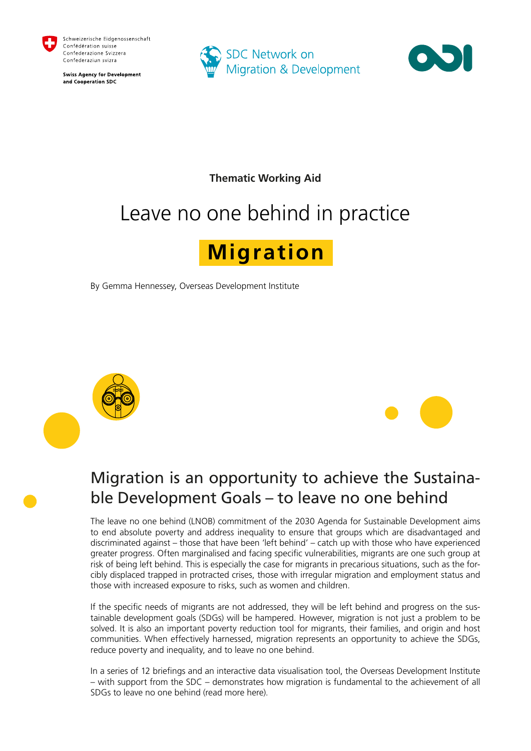

**Swiss Agency for Development** and Cooperation SDC





**Thematic Working Aid** 

# Leave no one behind in practice

## **Migration**

By Gemma Hennessey, Overseas Development Institute





## Migration is an opportunity to achieve the Sustainable Development Goals – to leave no one behind

The leave no one behind (LNOB) commitment of the 2030 Agenda for Sustainable Development aims to end absolute poverty and address inequality to ensure that groups which are disadvantaged and discriminated against – those that have been 'left behind' – catch up with those who have experienced greater progress. Often marginalised and facing specific vulnerabilities, migrants are one such group at risk of being left behind. This is especially the case for migrants in precarious situations, such as the forcibly displaced trapped in protracted crises, those with irregular migration and employment status and those with increased exposure to risks, such as women and children.

If the specific needs of migrants are not addressed, they will be left behind and progress on the sustainable development goals (SDGs) will be hampered. However, migration is not just a problem to be solved. It is also an important poverty reduction tool for migrants, their families, and origin and host communities. When effectively harnessed, migration represents an opportunity to achieve the SDGs, reduce poverty and inequality, and to leave no one behind.

In a series of 12 briefings and a[n](https://www.odi.org/opinion/10492-migration-and-2030-agenda-sustainable-development-interactive-tool) [interactive data visualisation tool,](https://www.odi.org/opinion/10492-migration-and-2030-agenda-sustainable-development-interactive-tool) the Overseas Development Institute – with support from the SDC – demonstrates how migration is fundamental to the achievement of all SDGs to leave no one behind [\(read more here\).](https://www.odi.org/projects/2849-migration-and-2030-agenda-sustainable-development)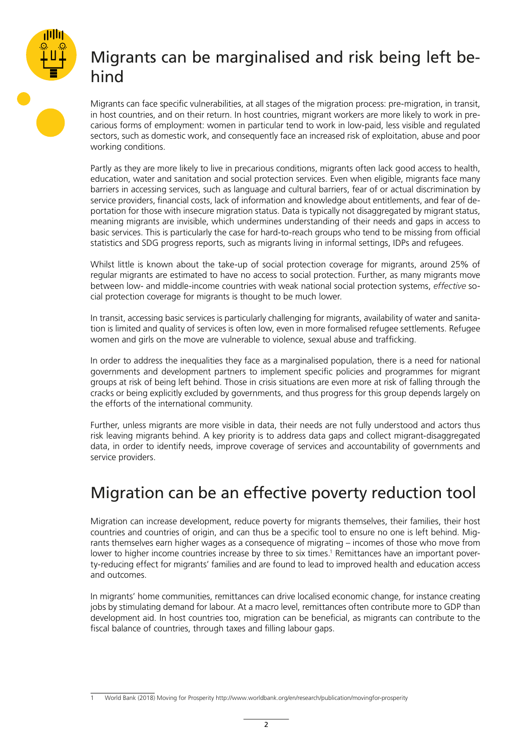

### Migrants can be marginalised and risk being left behind

Migrants can face specific vulnerabilities, at all stages of the migration process: pre-migration, in transit, in host countries, and on their return. In host countries, migrant workers are more likely to [work](https://www.odi.org/publications/11193-decent-work-migration-and-2030-agenda-sustainable-development) [i](https://www.odi.org/publications/11193-decent-work-migration-and-2030-agenda-sustainable-development)n precarious forms of employment: [women](https://www.odi.org/publications/10476-women-move-migration-gender-equality-and-2030-agenda-sustainable-development) in particular tend to work in low-paid, less visible and regulated sectors, such as domestic work, and consequently face an increased risk of exploitation, abuse and poor working conditions.

Partly as they are more likely to live in precarious conditions, migrants often lack good access to [health,](https://www.odi.org/publications/10477-health-migration-and-2030-agenda-sustainable-development) [education,](https://www.odi.org/publications/10834-education-migration-and-2030-agenda-sustainable-development) [water and sanitation](https://www.odi.org/publications/11143-water-and-sanitation-migration-and-2030-agenda-sustainable-development) an[d](https://www.odi.org/publications/10822-social-protection-migration-and-2030-agenda-sustainable-development) [social protection](https://www.odi.org/publications/10822-social-protection-migration-and-2030-agenda-sustainable-development) services. Even when eligible, migrants face many barriers in accessing services, such as language and cultural barriers, fear of or actual discrimination by service providers, financial costs, lack of information and knowledge about entitlements, and fear of deportation for those with insecure migration status. Data is typically not disaggregated by migrant status, meaning migrants are invisible, which undermines understanding of their needs and gaps in access to basic services. This is particularly the case for hard-to-reach groups who tend to be missing from official statistics and SDG progress reports, such as migrants living in informal settings, IDPs and refugees.

Whilst little is known about the take-up of social protection coverage for migrants, around 25% of regular migrants are estimated to have no access to social protection. Further, as many migrants move between low- and middle-income countries with weak national social protection systems, *effective* social protection coverage for migrants is thought to be much lower.

In transit, accessing basic services is particularly challenging for migrants, availability of water and sanitation is limited and quality of services is often low, even in more formalised refugee settlements. Refugee women and girls on the move are vulnerable to violence, sexual abuse and trafficking.

In order to address the inequalities they face as a marginalised population, there is a need for national governments and development partners to implement specific policies and programmes for migrant groups at risk of being left behind. Those in crisis situations are even more at risk of falling through the cracks or being explicitly excluded by governments, and thus progress for this group depends largely on the efforts of the international community.

Further, unless migrants are more visible in data, their needs are not fully understood and actors thus risk leaving migrants behind. A key priority is to address data gaps and collect migrant-disaggregated data, in order to identify needs, improve coverage of services and accountability of governments and service providers.

### Migration can be an effective poverty reduction tool

Migration can increase development, reduce [poverty](https://www.odi.org/publications/10912-poverty-migration-and-2030-agenda-sustainable-development) [f](https://www.odi.org/publications/10912-poverty-migration-and-2030-agenda-sustainable-development)or migrants themselves, their families, their host countries and countries of origin, and can thus be a specific tool to ensure no one is left behind. Migrants themselves earn higher wages as a consequence of migrating – incomes of those who move from lower to higher income countries increase by three to six times.<sup>1</sup> Remittances have an important poverty-reducing effect for migrants' families and are found to lead to improved health and education access and outcomes.

In migrants' home communities, remittances can drive localised economic change, for instance creating jobs by stimulating demand for labour. At a macro level, remittances often contribute more to GDP than development aid. In host countries too, migration can be beneficial, as migrants can contribute to the fiscal balance of countries, through taxes and filling labour gaps.

<sup>1</sup> World Bank (2018) Moving for Prosperity http://www.worldbank.org/en/research/publication/movingfor-prosperity